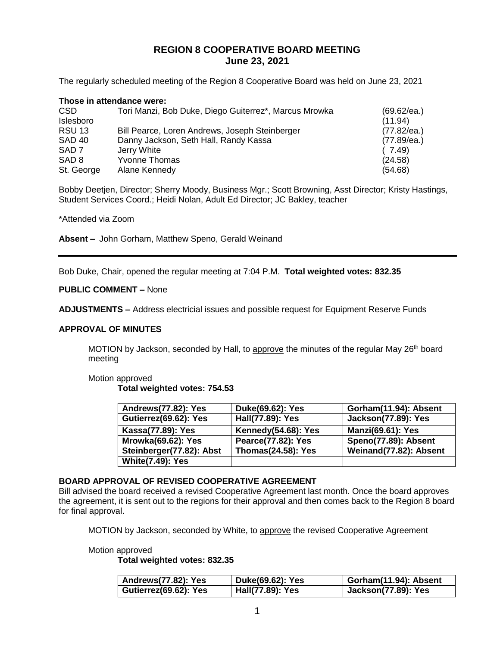# **REGION 8 COOPERATIVE BOARD MEETING June 23, 2021**

The regularly scheduled meeting of the Region 8 Cooperative Board was held on June 23, 2021

|                  | Those in attendance were:                             |             |
|------------------|-------------------------------------------------------|-------------|
| CSD              | Tori Manzi, Bob Duke, Diego Guiterrez*, Marcus Mrowka | (69.62/ea.) |
| Islesboro        |                                                       | (11.94)     |
| <b>RSU 13</b>    | Bill Pearce, Loren Andrews, Joseph Steinberger        | (77.82/ea.) |
| <b>SAD 40</b>    | Danny Jackson, Seth Hall, Randy Kassa                 | (77.89/ea.) |
| SAD <sub>7</sub> | Jerry White                                           | (7.49)      |
| SAD <sub>8</sub> | <b>Yvonne Thomas</b>                                  | (24.58)     |
| St. George       | Alane Kennedy                                         | (54.68)     |

Bobby Deetjen, Director; Sherry Moody, Business Mgr.; Scott Browning, Asst Director; Kristy Hastings, Student Services Coord.; Heidi Nolan, Adult Ed Director; JC Bakley, teacher

\*Attended via Zoom

**Absent –** John Gorham, Matthew Speno, Gerald Weinand

Bob Duke, Chair, opened the regular meeting at 7:04 P.M. **Total weighted votes: 832.35**

#### **PUBLIC COMMENT –** None

**ADJUSTMENTS –** Address electricial issues and possible request for Equipment Reserve Funds

#### **APPROVAL OF MINUTES**

MOTION by Jackson, seconded by Hall, to approve the minutes of the regular May 26<sup>th</sup> board meeting

Motion approved

**Total weighted votes: 754.53**

| Andrews(77.82): Yes       | Duke(69.62): Yes          | Gorham(11.94): Absent      |
|---------------------------|---------------------------|----------------------------|
| Gutierrez(69.62): Yes     | Hall(77.89): Yes          | <b>Jackson(77.89): Yes</b> |
| Kassa(77.89): Yes         | Kennedy(54.68): Yes       | <b>Manzi(69.61): Yes</b>   |
| <b>Mrowka(69.62): Yes</b> | Pearce(77.82): Yes        | Speno(77.89): Absent       |
| Steinberger(77.82): Abst  | <b>Thomas(24.58): Yes</b> | Weinand(77.82): Absent     |
| <b>White(7.49): Yes</b>   |                           |                            |

### **BOARD APPROVAL OF REVISED COOPERATIVE AGREEMENT**

Bill advised the board received a revised Cooperative Agreement last month. Once the board approves the agreement, it is sent out to the regions for their approval and then comes back to the Region 8 board for final approval.

MOTION by Jackson, seconded by White, to approve the revised Cooperative Agreement

Motion approved

**Total weighted votes: 832.35**

| Andrews(77.82): Yes   | Duke(69.62): Yes | Gorham(11.94): Absent      |
|-----------------------|------------------|----------------------------|
| Gutierrez(69.62): Yes | Hall(77.89): Yes | <b>Jackson(77.89): Yes</b> |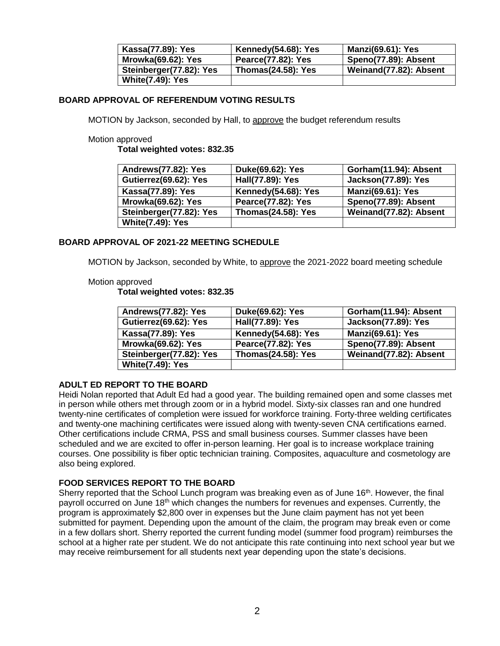| Kassa(77.89): Yes         | Kennedy(54.68): Yes       | <b>Manzi(69.61): Yes</b> |
|---------------------------|---------------------------|--------------------------|
| <b>Mrowka(69.62): Yes</b> | Pearce(77.82): Yes        | Speno(77.89): Absent     |
| Steinberger(77.82): Yes   | <b>Thomas(24.58): Yes</b> | Weinand(77.82): Absent   |
| <b>White(7.49): Yes</b>   |                           |                          |

### **BOARD APPROVAL OF REFERENDUM VOTING RESULTS**

MOTION by Jackson, seconded by Hall, to approve the budget referendum results

#### Motion approved

**Total weighted votes: 832.35**

| Andrews(77.82): Yes       | Duke(69.62): Yes          | Gorham(11.94): Absent      |
|---------------------------|---------------------------|----------------------------|
| Gutierrez(69.62): Yes     | Hall(77.89): Yes          | <b>Jackson(77.89): Yes</b> |
| <b>Kassa(77.89): Yes</b>  | Kennedy(54.68): Yes       | <b>Manzi(69.61): Yes</b>   |
| <b>Mrowka(69.62): Yes</b> | Pearce(77.82): Yes        | Speno(77.89): Absent       |
| Steinberger(77.82): Yes   | <b>Thomas(24.58): Yes</b> | Weinand(77.82): Absent     |
| <b>White(7.49): Yes</b>   |                           |                            |

### **BOARD APPROVAL OF 2021-22 MEETING SCHEDULE**

MOTION by Jackson, seconded by White, to approve the 2021-2022 board meeting schedule

#### Motion approved

**Total weighted votes: 832.35**

| Andrews(77.82): Yes       | Duke(69.62): Yes          | Gorham(11.94): Absent      |
|---------------------------|---------------------------|----------------------------|
| Gutierrez(69.62): Yes     | Hall(77.89): Yes          | <b>Jackson(77.89): Yes</b> |
| Kassa(77.89): Yes         | Kennedy(54.68): Yes       | <b>Manzi(69.61): Yes</b>   |
| <b>Mrowka(69.62): Yes</b> | Pearce(77.82): Yes        | Speno(77.89): Absent       |
| Steinberger(77.82): Yes   | <b>Thomas(24.58): Yes</b> | Weinand(77.82): Absent     |
| <b>White(7.49): Yes</b>   |                           |                            |

### **ADULT ED REPORT TO THE BOARD**

Heidi Nolan reported that Adult Ed had a good year. The building remained open and some classes met in person while others met through zoom or in a hybrid model. Sixty-six classes ran and one hundred twenty-nine certificates of completion were issued for workforce training. Forty-three welding certificates and twenty-one machining certificates were issued along with twenty-seven CNA certifications earned. Other certifications include CRMA, PSS and small business courses. Summer classes have been scheduled and we are excited to offer in-person learning. Her goal is to increase workplace training courses. One possibility is fiber optic technician training. Composites, aquaculture and cosmetology are also being explored.

### **FOOD SERVICES REPORT TO THE BOARD**

Sherry reported that the School Lunch program was breaking even as of June  $16<sup>th</sup>$ . However, the final payroll occurred on June  $18<sup>th</sup>$  which changes the numbers for revenues and expenses. Currently, the program is approximately \$2,800 over in expenses but the June claim payment has not yet been submitted for payment. Depending upon the amount of the claim, the program may break even or come in a few dollars short. Sherry reported the current funding model (summer food program) reimburses the school at a higher rate per student. We do not anticipate this rate continuing into next school year but we may receive reimbursement for all students next year depending upon the state's decisions.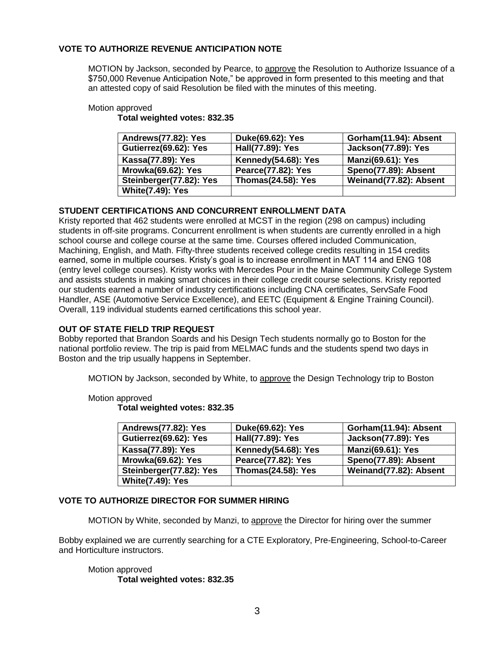# **VOTE TO AUTHORIZE REVENUE ANTICIPATION NOTE**

MOTION by Jackson, seconded by Pearce, to approve the Resolution to Authorize Issuance of a \$750,000 Revenue Anticipation Note," be approved in form presented to this meeting and that an attested copy of said Resolution be filed with the minutes of this meeting.

### Motion approved

**Total weighted votes: 832.35**

| Andrews(77.82): Yes       | Duke(69.62): Yes          | Gorham(11.94): Absent      |
|---------------------------|---------------------------|----------------------------|
| Gutierrez(69.62): Yes     | Hall(77.89): Yes          | <b>Jackson(77.89): Yes</b> |
| Kassa(77.89): Yes         | Kennedy(54.68): Yes       | <b>Manzi(69.61): Yes</b>   |
| <b>Mrowka(69.62): Yes</b> | <b>Pearce(77.82): Yes</b> | Speno(77.89): Absent       |
| Steinberger(77.82): Yes   | <b>Thomas(24.58): Yes</b> | Weinand(77.82): Absent     |
| <b>White(7.49): Yes</b>   |                           |                            |

# **STUDENT CERTIFICATIONS AND CONCURRENT ENROLLMENT DATA**

Kristy reported that 462 students were enrolled at MCST in the region (298 on campus) including students in off-site programs. Concurrent enrollment is when students are currently enrolled in a high school course and college course at the same time. Courses offered included Communication, Machining, English, and Math. Fifty-three students received college credits resulting in 154 credits earned, some in multiple courses. Kristy's goal is to increase enrollment in MAT 114 and ENG 108 (entry level college courses). Kristy works with Mercedes Pour in the Maine Community College System and assists students in making smart choices in their college credit course selections. Kristy reported our students earned a number of industry certifications including CNA certificates, ServSafe Food Handler, ASE (Automotive Service Excellence), and EETC (Equipment & Engine Training Council). Overall, 119 individual students earned certifications this school year.

# **OUT OF STATE FIELD TRIP REQUEST**

Bobby reported that Brandon Soards and his Design Tech students normally go to Boston for the national portfolio review. The trip is paid from MELMAC funds and the students spend two days in Boston and the trip usually happens in September.

MOTION by Jackson, seconded by White, to approve the Design Technology trip to Boston

Motion approved

**Total weighted votes: 832.35**

| Andrews(77.82): Yes       | Duke(69.62): Yes          | Gorham(11.94): Absent      |
|---------------------------|---------------------------|----------------------------|
| Gutierrez(69.62): Yes     | Hall(77.89): Yes          | <b>Jackson(77.89): Yes</b> |
| Kassa(77.89): Yes         | Kennedy(54.68): Yes       | <b>Manzi(69.61): Yes</b>   |
| <b>Mrowka(69.62): Yes</b> | Pearce(77.82): Yes        | Speno(77.89): Absent       |
| Steinberger(77.82): Yes   | <b>Thomas(24.58): Yes</b> | Weinand(77.82): Absent     |
| <b>White(7.49): Yes</b>   |                           |                            |

# **VOTE TO AUTHORIZE DIRECTOR FOR SUMMER HIRING**

MOTION by White, seconded by Manzi, to approve the Director for hiring over the summer

Bobby explained we are currently searching for a CTE Exploratory, Pre-Engineering, School-to-Career and Horticulture instructors.

## Motion approved **Total weighted votes: 832.35**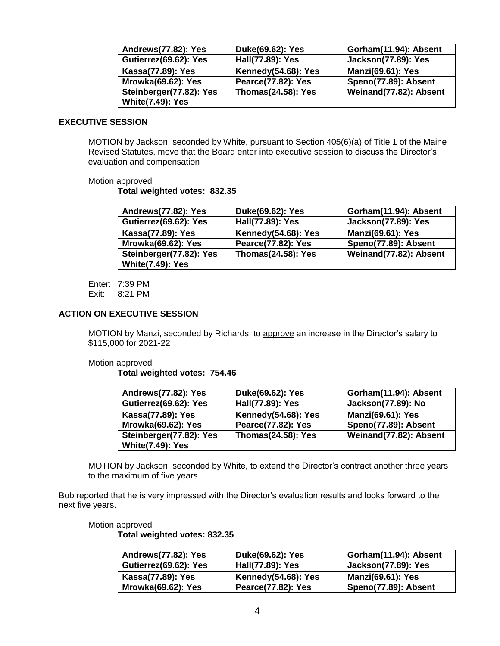| Andrews(77.82): Yes       | Duke(69.62): Yes          | Gorham(11.94): Absent      |
|---------------------------|---------------------------|----------------------------|
| Gutierrez(69.62): Yes     | Hall(77.89): Yes          | <b>Jackson(77.89): Yes</b> |
| Kassa(77.89): Yes         | Kennedy(54.68): Yes       | <b>Manzi(69.61): Yes</b>   |
| <b>Mrowka(69.62): Yes</b> | <b>Pearce(77.82): Yes</b> | Speno(77.89): Absent       |
| Steinberger(77.82): Yes   | <b>Thomas(24.58): Yes</b> | Weinand(77.82): Absent     |
| <b>White(7.49): Yes</b>   |                           |                            |

#### **EXECUTIVE SESSION**

MOTION by Jackson, seconded by White, pursuant to Section 405(6)(a) of Title 1 of the Maine Revised Statutes, move that the Board enter into executive session to discuss the Director's evaluation and compensation

#### Motion approved

**Total weighted votes: 832.35**

| Andrews(77.82): Yes       | Duke(69.62): Yes          | Gorham(11.94): Absent      |
|---------------------------|---------------------------|----------------------------|
| Gutierrez(69.62): Yes     | Hall(77.89): Yes          | <b>Jackson(77.89): Yes</b> |
| Kassa(77.89): Yes         | Kennedy(54.68): Yes       | <b>Manzi(69.61): Yes</b>   |
| <b>Mrowka(69.62): Yes</b> | Pearce(77.82): Yes        | Speno(77.89): Absent       |
| Steinberger(77.82): Yes   | <b>Thomas(24.58): Yes</b> | Weinand(77.82): Absent     |
| <b>White(7.49): Yes</b>   |                           |                            |

Enter: 7:39 PM Exit: 8:21 PM

#### **ACTION ON EXECUTIVE SESSION**

MOTION by Manzi, seconded by Richards, to approve an increase in the Director's salary to \$115,000 for 2021-22

Motion approved

**Total weighted votes: 754.46**

| Andrews(77.82): Yes       | Duke(69.62): Yes          | Gorham(11.94): Absent    |
|---------------------------|---------------------------|--------------------------|
| Gutierrez(69.62): Yes     | Hall(77.89): Yes          | Jackson(77.89): No       |
| <b>Kassa(77.89): Yes</b>  | Kennedy(54.68): Yes       | <b>Manzi(69.61): Yes</b> |
| <b>Mrowka(69.62): Yes</b> | <b>Pearce(77.82): Yes</b> | Speno(77.89): Absent     |
| Steinberger(77.82): Yes   | <b>Thomas(24.58): Yes</b> | Weinand(77.82): Absent   |
| <b>White(7.49): Yes</b>   |                           |                          |

MOTION by Jackson, seconded by White, to extend the Director's contract another three years to the maximum of five years

Bob reported that he is very impressed with the Director's evaluation results and looks forward to the next five years.

#### Motion approved

**Total weighted votes: 832.35**

| Andrews(77.82): Yes       | Duke(69.62): Yes           | Gorham(11.94): Absent      |
|---------------------------|----------------------------|----------------------------|
| Gutierrez(69.62): Yes     | Hall(77.89): Yes           | <b>Jackson(77.89): Yes</b> |
| Kassa(77.89): Yes         | <b>Kennedy(54.68): Yes</b> | <b>Manzi(69.61): Yes</b>   |
| <b>Mrowka(69.62): Yes</b> | Pearce(77.82): Yes         | Speno(77.89): Absent       |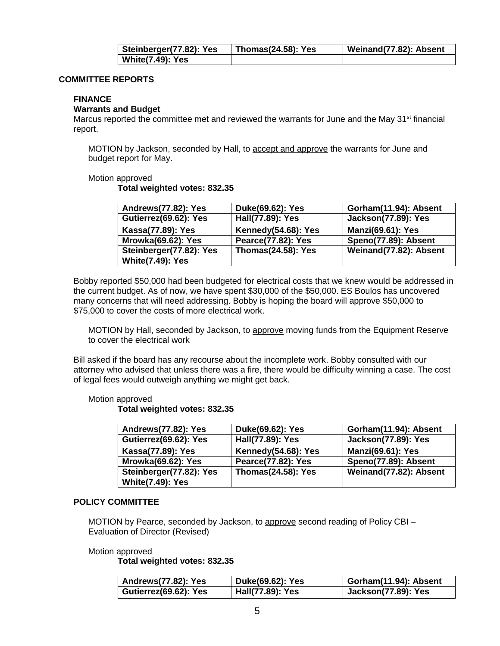| Steinberger(77.82): Yes | <b>Thomas(24.58): Yes</b> | Weinand(77.82): Absent |
|-------------------------|---------------------------|------------------------|
| <b>White(7.49): Yes</b> |                           |                        |

#### **COMMITTEE REPORTS**

### **FINANCE**

### **Warrants and Budget**

Marcus reported the committee met and reviewed the warrants for June and the May 31<sup>st</sup> financial report.

MOTION by Jackson, seconded by Hall, to accept and approve the warrants for June and budget report for May.

Motion approved

**Total weighted votes: 832.35**

| Andrews(77.82): Yes       | Duke(69.62): Yes          | Gorham(11.94): Absent      |
|---------------------------|---------------------------|----------------------------|
| Gutierrez(69.62): Yes     | Hall(77.89): Yes          | <b>Jackson(77.89): Yes</b> |
| Kassa(77.89): Yes         | Kennedy(54.68): Yes       | <b>Manzi(69.61): Yes</b>   |
| <b>Mrowka(69.62): Yes</b> | Pearce(77.82): Yes        | Speno(77.89): Absent       |
| Steinberger(77.82): Yes   | <b>Thomas(24.58): Yes</b> | Weinand(77.82): Absent     |
| <b>White(7.49): Yes</b>   |                           |                            |

Bobby reported \$50,000 had been budgeted for electrical costs that we knew would be addressed in the current budget. As of now, we have spent \$30,000 of the \$50,000. ES Boulos has uncovered many concerns that will need addressing. Bobby is hoping the board will approve \$50,000 to \$75,000 to cover the costs of more electrical work.

MOTION by Hall, seconded by Jackson, to **approve** moving funds from the Equipment Reserve to cover the electrical work

Bill asked if the board has any recourse about the incomplete work. Bobby consulted with our attorney who advised that unless there was a fire, there would be difficulty winning a case. The cost of legal fees would outweigh anything we might get back.

#### Motion approved

#### **Total weighted votes: 832.35**

| Andrews(77.82): Yes     | Duke(69.62): Yes          | Gorham(11.94): Absent      |
|-------------------------|---------------------------|----------------------------|
| Gutierrez(69.62): Yes   | Hall(77.89): Yes          | <b>Jackson(77.89): Yes</b> |
| Kassa(77.89): Yes       | Kennedy(54.68): Yes       | <b>Manzi(69.61): Yes</b>   |
| Mrowka(69.62): Yes      | Pearce(77.82): Yes        | Speno(77.89): Absent       |
| Steinberger(77.82): Yes | <b>Thomas(24.58): Yes</b> | Weinand(77.82): Absent     |
| <b>White(7.49): Yes</b> |                           |                            |

#### **POLICY COMMITTEE**

MOTION by Pearce, seconded by Jackson, to approve second reading of Policy CBI – Evaluation of Director (Revised)

Motion approved

**Total weighted votes: 832.35**

| Andrews(77.82): Yes   | Duke(69.62): Yes | Gorham(11.94): Absent      |
|-----------------------|------------------|----------------------------|
| Gutierrez(69.62): Yes | Hall(77.89): Yes | <b>Jackson(77.89): Yes</b> |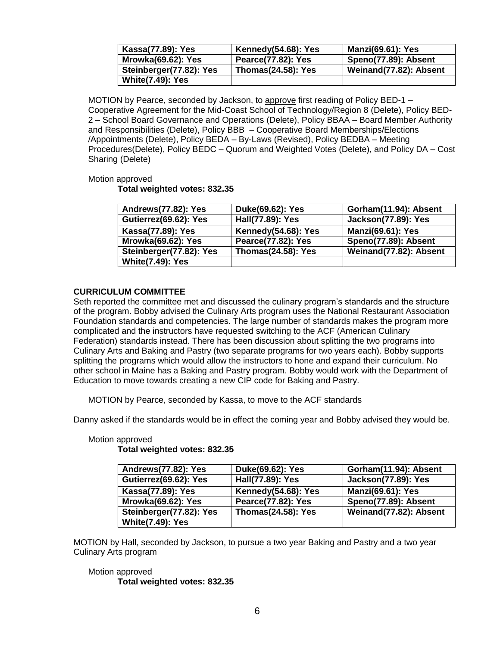| Kassa(77.89): Yes         | Kennedy(54.68): Yes       | <b>Manzi(69.61): Yes</b> |
|---------------------------|---------------------------|--------------------------|
| <b>Mrowka(69.62): Yes</b> | <b>Pearce(77.82): Yes</b> | Speno(77.89): Absent     |
| Steinberger(77.82): Yes   | <b>Thomas(24.58): Yes</b> | Weinand(77.82): Absent   |
| <b>White(7.49): Yes</b>   |                           |                          |

MOTION by Pearce, seconded by Jackson, to approve first reading of Policy BED-1 – Cooperative Agreement for the Mid-Coast School of Technology/Region 8 (Delete), Policy BED-2 – School Board Governance and Operations (Delete), Policy BBAA – Board Member Authority and Responsibilities (Delete), Policy BBB – Cooperative Board Memberships/Elections /Appointments (Delete), Policy BEDA – By-Laws (Revised), Policy BEDBA – Meeting Procedures(Delete), Policy BEDC – Quorum and Weighted Votes (Delete), and Policy DA – Cost Sharing (Delete)

### Motion approved

**Total weighted votes: 832.35**

| Andrews(77.82): Yes       | Duke(69.62): Yes          | Gorham(11.94): Absent      |
|---------------------------|---------------------------|----------------------------|
| Gutierrez(69.62): Yes     | Hall(77.89): Yes          | <b>Jackson(77.89): Yes</b> |
| Kassa(77.89): Yes         | Kennedy(54.68): Yes       | <b>Manzi(69.61): Yes</b>   |
| <b>Mrowka(69.62): Yes</b> | <b>Pearce(77.82): Yes</b> | Speno(77.89): Absent       |
| Steinberger(77.82): Yes   | <b>Thomas(24.58): Yes</b> | Weinand(77.82): Absent     |
| <b>White(7.49): Yes</b>   |                           |                            |

## **CURRICULUM COMMITTEE**

Seth reported the committee met and discussed the culinary program's standards and the structure of the program. Bobby advised the Culinary Arts program uses the National Restaurant Association Foundation standards and competencies. The large number of standards makes the program more complicated and the instructors have requested switching to the ACF (American Culinary Federation) standards instead. There has been discussion about splitting the two programs into Culinary Arts and Baking and Pastry (two separate programs for two years each). Bobby supports splitting the programs which would allow the instructors to hone and expand their curriculum. No other school in Maine has a Baking and Pastry program. Bobby would work with the Department of Education to move towards creating a new CIP code for Baking and Pastry.

MOTION by Pearce, seconded by Kassa, to move to the ACF standards

Danny asked if the standards would be in effect the coming year and Bobby advised they would be.

| Andrews(77.82): Yes       | Duke(69.62): Yes          | Gorham(11.94): Absent      |
|---------------------------|---------------------------|----------------------------|
| Gutierrez(69.62): Yes     | Hall(77.89): Yes          | <b>Jackson(77.89): Yes</b> |
| Kassa(77.89): Yes         | Kennedy(54.68): Yes       | <b>Manzi(69.61): Yes</b>   |
| <b>Mrowka(69.62): Yes</b> | Pearce(77.82): Yes        | Speno(77.89): Absent       |
| Steinberger(77.82): Yes   | <b>Thomas(24.58): Yes</b> | Weinand(77.82): Absent     |
| <b>White(7.49): Yes</b>   |                           |                            |

#### Motion approved **Total weighted votes: 832.35**

MOTION by Hall, seconded by Jackson, to pursue a two year Baking and Pastry and a two year Culinary Arts program

## Motion approved **Total weighted votes: 832.35**